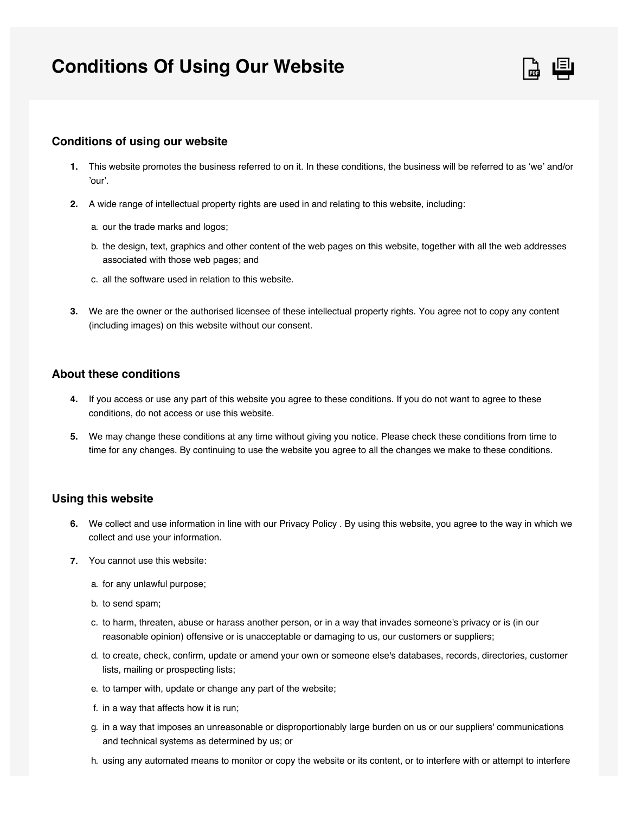# **Conditions Of Using Our Website**



## **Conditions of using our website**

- This website promotes the business referred to on it. In these conditions, the business will be referred to as 'we' and/or **1.** 'our'.
- A wide range of intellectual property rights are used in and relating to this website, including: **2.**
	- a. our the trade marks and logos;
	- b. the design, text, graphics and other content of the web pages on this website, together with all the web addresses associated with those web pages; and
	- c. all the software used in relation to this website.
- We are the owner or the authorised licensee of these intellectual property rights. You agree not to copy any content **3.** (including images) on this website without our consent.

# **About these conditions**

- If you access or use any part of this website you agree to these conditions. If you do not want to agree to these **4.** conditions, do not access or use this website.
- We may change these conditions at any time without giving you notice. Please check these conditions from time to **5.** time for any changes. By continuing to use the website you agree to all the changes we make to these conditions.

#### **Using this website**

- We collect and use information in line with our Privacy Policy . By using this website, you agree to the way in which we **6.** collect and use your information.
- You cannot use this website: **7.**
	- a. for any unlawful purpose;
	- b. to send spam;
	- c. to harm, threaten, abuse or harass another person, or in a way that invades someone's privacy or is (in our reasonable opinion) offensive or is unacceptable or damaging to us, our customers or suppliers;
	- d. to create, check, confirm, update or amend your own or someone else's databases, records, directories, customer lists, mailing or prospecting lists;
	- e. to tamper with, update or change any part of the website;
	- f. in a way that affects how it is run;
	- g. in a way that imposes an unreasonable or disproportionably large burden on us or our suppliers' communications and technical systems as determined by us; or
	- h. using any automated means to monitor or copy the website or its content, or to interfere with or attempt to interfere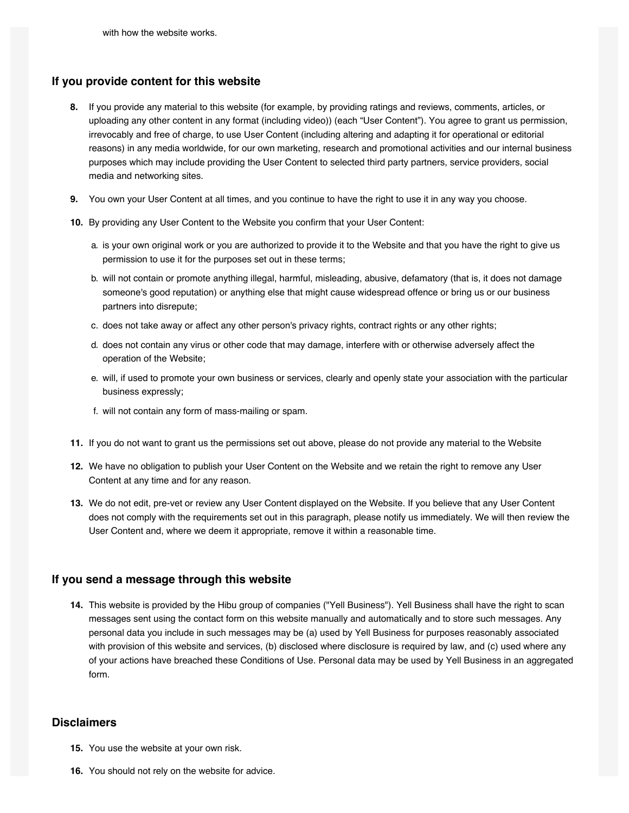#### **If you provide content for this website**

- If you provide any material to this website (for example, by providing ratings and reviews, comments, articles, or **8.** uploading any other content in any format (including video)) (each "User Content"). You agree to grant us permission, irrevocably and free of charge, to use User Content (including altering and adapting it for operational or editorial reasons) in any media worldwide, for our own marketing, research and promotional activities and our internal business purposes which may include providing the User Content to selected third party partners, service providers, social media and networking sites.
- You own your User Content at all times, and you continue to have the right to use it in any way you choose. **9.**
- **10.** By providing any User Content to the Website you confirm that your User Content:
	- a. is your own original work or you are authorized to provide it to the Website and that you have the right to give us permission to use it for the purposes set out in these terms;
	- b. will not contain or promote anything illegal, harmful, misleading, abusive, defamatory (that is, it does not damage someone's good reputation) or anything else that might cause widespread offence or bring us or our business partners into disrepute;
	- c. does not take away or affect any other person's privacy rights, contract rights or any other rights;
	- d. does not contain any virus or other code that may damage, interfere with or otherwise adversely affect the operation of the Website;
	- e. will, if used to promote your own business or services, clearly and openly state your association with the particular business expressly;
	- f. will not contain any form of mass-mailing or spam.
- **11.** If you do not want to grant us the permissions set out above, please do not provide any material to the Website
- We have no obligation to publish your User Content on the Website and we retain the right to remove any User **12.** Content at any time and for any reason.
- We do not edit, pre-vet or review any User Content displayed on the Website. If you believe that any User Content **13.** does not comply with the requirements set out in this paragraph, please notify us immediately. We will then review the User Content and, where we deem it appropriate, remove it within a reasonable time.

#### **If you send a message through this website**

This website is provided by the Hibu group of companies ("Yell Business"). Yell Business shall have the right to scan **14.** messages sent using the contact form on this website manually and automatically and to store such messages. Any personal data you include in such messages may be (a) used by Yell Business for purposes reasonably associated with provision of this website and services, (b) disclosed where disclosure is required by law, and (c) used where any of your actions have breached these Conditions of Use. Personal data may be used by Yell Business in an aggregated form.

## **Disclaimers**

- **15.** You use the website at your own risk.
- **16.** You should not rely on the website for advice.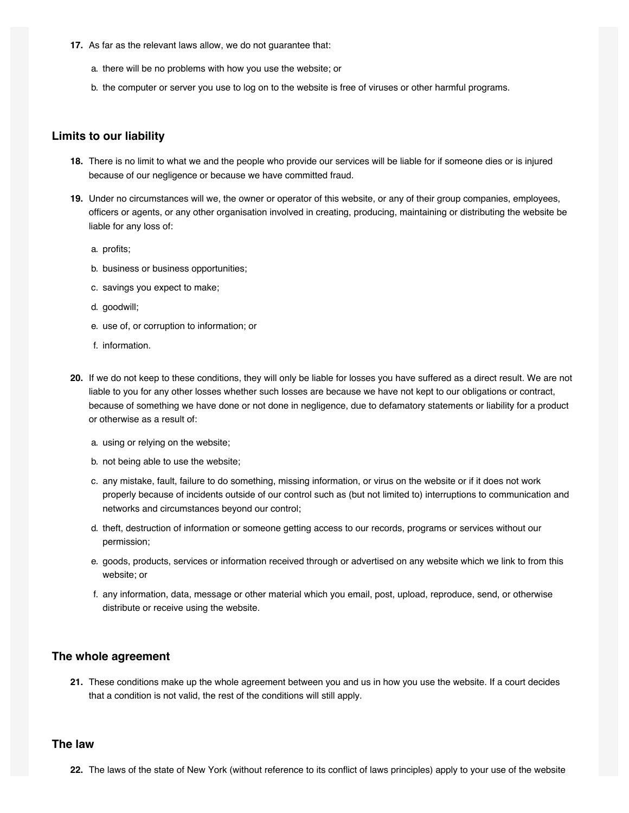- **17.** As far as the relevant laws allow, we do not guarantee that:
	- a. there will be no problems with how you use the website; or
	- b. the computer or server you use to log on to the website is free of viruses or other harmful programs.

## **Limits to our liability**

- There is no limit to what we and the people who provide our services will be liable for if someone dies or is injured **18.** because of our negligence or because we have committed fraud.
- **19.** Under no circumstances will we, the owner or operator of this website, or any of their group companies, employees, officers or agents, or any other organisation involved in creating, producing, maintaining or distributing the website be liable for any loss of:
	- a. profits;
	- b. business or business opportunities;
	- c. savings you expect to make;
	- d. goodwill;
	- e. use of, or corruption to information; or
	- f. information.
- If we do not keep to these conditions, they will only be liable for losses you have suffered as a direct result. We are not **20.** liable to you for any other losses whether such losses are because we have not kept to our obligations or contract, because of something we have done or not done in negligence, due to defamatory statements or liability for a product or otherwise as a result of:
	- a. using or relying on the website;
	- b. not being able to use the website;
	- c. any mistake, fault, failure to do something, missing information, or virus on the website or if it does not work properly because of incidents outside of our control such as (but not limited to) interruptions to communication and networks and circumstances beyond our control;
	- d. theft, destruction of information or someone getting access to our records, programs or services without our permission;
	- e. goods, products, services or information received through or advertised on any website which we link to from this website; or
	- f. any information, data, message or other material which you email, post, upload, reproduce, send, or otherwise distribute or receive using the website.

# **The whole agreement**

These conditions make up the whole agreement between you and us in how you use the website. If a court decides **21.** that a condition is not valid, the rest of the conditions will still apply.

#### **The law**

The laws of the state of New York (without reference to its conflict of laws principles) apply to your use of the website **22.**